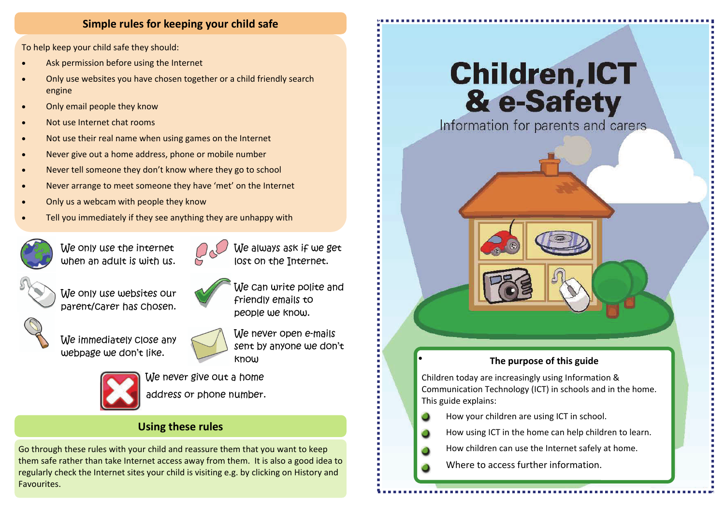#### **Simple rules for keeping your child safe**

To help keep your child safe they should:

- $\bullet$ Ask permission before using the Internet
- $\bullet$  Only use websites you have chosen together or <sup>a</sup> child friendly search engine
- $\bullet$ Only email people they know
- $\bullet$ Not use Internet chat rooms
- $\bullet$ Not use their real name when using games on the Internet
- $\bullet$ Never give out <sup>a</sup> home address, phone or mobile number
- $\bullet$ Never tell someone they don't know where they go to school
- $\bullet$ Never arrange to meet someone they have 'met' on the Internet
- $\bullet$ Only us <sup>a</sup> webcam with people they know
- $\bullet$ Tell you immediately if they see anything they are unhappy with



We only use the internet when an adult is with us.





We can write polite and

friendly emails to



We only use websites our parent/carer has chosen.



We immediately close any webpage we don't like.



people we know. We never open e-mails sent by anyone we don't know



We never give out a home address or phone number.

## **Using these rules**

Go through these rules with your child and reassure them that you want to keep them safe rather than take Internet access away from them. It is also <sup>a</sup> good idea to regularly check the Internet sites your child is visiting e.g. by clicking on History and Favourites.

# **Children, ICT** & e-Safety

Information for parents and carers



Children today are increasingly using Information & Communication Technology (ICT) in schools and in the home. This guide explains:

**How your children are using ICT in school.** 

 $\bullet$ 

c.

г.

m

×

**How using ICT in the home can help children to learn.** 

- **How children can use the Internet safely at home.**
- **Number 1** Where to access further information.